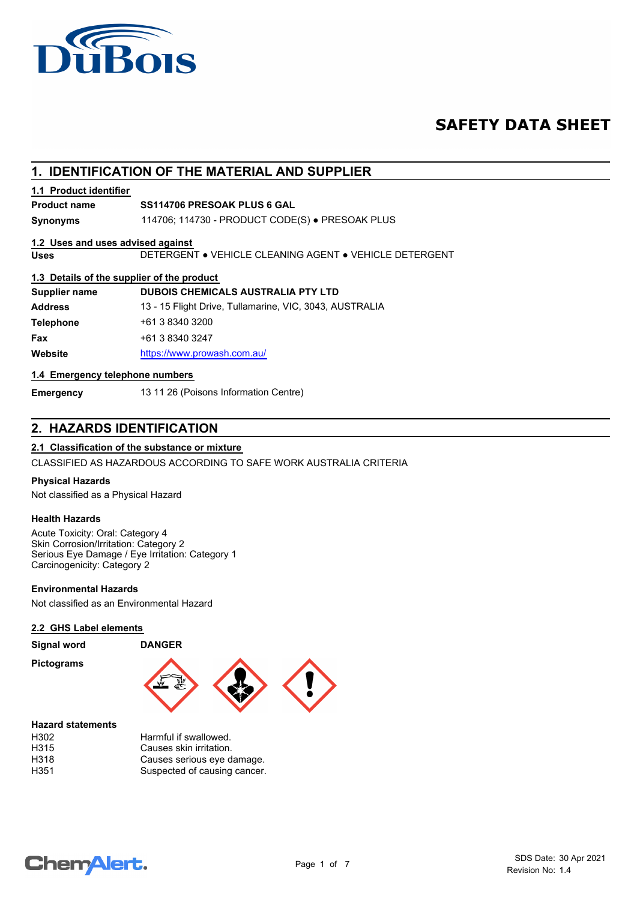

## **SAFETY DATA SHEET**

### **1. IDENTIFICATION OF THE MATERIAL AND SUPPLIER**

#### **1.1 Product identifier**

#### **Product name SS114706 PRESOAK PLUS 6 GAL**

**Synonyms** 114706; 114730 - PRODUCT CODE(S) ● PRESOAK PLUS

#### **1.2 Uses and uses advised against**

**Uses** DETERGENT ● VEHICLE CLEANING AGENT ● VEHICLE DETERGENT

#### **1.3 Details of the supplier of the product**

| <b>Supplier name</b> | <b>DUBOIS CHEMICALS AUSTRALIA PTY LTD</b>               |
|----------------------|---------------------------------------------------------|
| <b>Address</b>       | 13 - 15 Flight Drive, Tullamarine, VIC, 3043, AUSTRALIA |
| <b>Telephone</b>     | +61 3 8340 3200                                         |
| Fax                  | +61 3 8340 3247                                         |
| Website              | https://www.prowash.com.au/                             |

#### **1.4 Emergency telephone numbers**

**Emergency** 13 11 26 (Poisons Information Centre)

### **2. HAZARDS IDENTIFICATION**

#### **2.1 Classification of the substance or mixture**

CLASSIFIED AS HAZARDOUS ACCORDING TO SAFE WORK AUSTRALIA CRITERIA

#### **Physical Hazards**

Not classified as a Physical Hazard

#### **Health Hazards**

Acute Toxicity: Oral: Category 4 Skin Corrosion/Irritation: Category 2 Serious Eye Damage / Eye Irritation: Category 1 Carcinogenicity: Category 2

#### **Environmental Hazards**

Not classified as an Environmental Hazard

#### **2.2 GHS Label elements**

#### **Signal word DANGER**

**Pictograms**



#### **Hazard statements**

| H302 | Harmful if swallowed.        |
|------|------------------------------|
| H315 | Causes skin irritation.      |
| H318 | Causes serious eye damage.   |
| H351 | Suspected of causing cancer. |

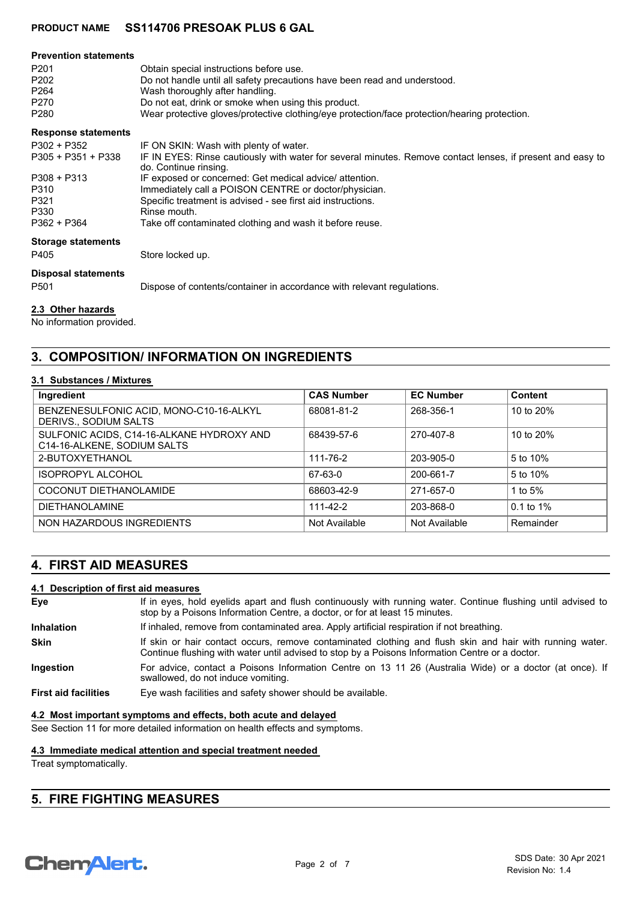| <b>Prevention statements</b> |                                                                                                                                     |
|------------------------------|-------------------------------------------------------------------------------------------------------------------------------------|
| P <sub>201</sub>             | Obtain special instructions before use.                                                                                             |
| P <sub>202</sub>             | Do not handle until all safety precautions have been read and understood.                                                           |
| P <sub>264</sub>             | Wash thoroughly after handling.                                                                                                     |
| P270                         | Do not eat, drink or smoke when using this product.                                                                                 |
| P <sub>280</sub>             | Wear protective gloves/protective clothing/eye protection/face protection/hearing protection.                                       |
| <b>Response statements</b>   |                                                                                                                                     |
| P302 + P352                  | IF ON SKIN: Wash with plenty of water.                                                                                              |
| $P305 + P351 + P338$         | IF IN EYES: Rinse cautiously with water for several minutes. Remove contact lenses, if present and easy to<br>do. Continue rinsing. |
| $P308 + P313$                | IF exposed or concerned: Get medical advice/attention.                                                                              |
| P310                         | Immediately call a POISON CENTRE or doctor/physician.                                                                               |
| P321                         | Specific treatment is advised - see first aid instructions.                                                                         |
| P330                         | Rinse mouth.                                                                                                                        |
| $P362 + P364$                | Take off contaminated clothing and wash it before reuse.                                                                            |
| <b>Storage statements</b>    |                                                                                                                                     |
| P405                         | Store locked up.                                                                                                                    |
| <b>Disposal statements</b>   |                                                                                                                                     |
| P <sub>501</sub>             | Dispose of contents/container in accordance with relevant regulations.                                                              |
|                              |                                                                                                                                     |

#### **2.3 Other hazards**

No information provided.

### **3. COMPOSITION/ INFORMATION ON INGREDIENTS**

#### **3.1 Substances / Mixtures**

| Ingredient                                                               | <b>CAS Number</b> | <b>EC Number</b> | Content        |
|--------------------------------------------------------------------------|-------------------|------------------|----------------|
| BENZENESULFONIC ACID, MONO-C10-16-ALKYL<br>DERIVS., SODIUM SALTS         | 68081-81-2        | 268-356-1        | 10 to 20%      |
| SULFONIC ACIDS, C14-16-ALKANE HYDROXY AND<br>C14-16-ALKENE, SODIUM SALTS | 68439-57-6        | 270-407-8        | 10 to 20%      |
| 2-BUTOXYETHANOL                                                          | 111-76-2          | 203-905-0        | 5 to 10%       |
| <b>ISOPROPYL ALCOHOL</b>                                                 | 67-63-0           | 200-661-7        | 5 to 10%       |
| COCONUT DIETHANOLAMIDE                                                   | 68603-42-9        | 271-657-0        | 1 to $5%$      |
| <b>DIETHANOLAMINE</b>                                                    | $111 - 42 - 2$    | 203-868-0        | $0.1$ to $1\%$ |
| NON HAZARDOUS INGREDIENTS                                                | Not Available     | Not Available    | Remainder      |

### **4. FIRST AID MEASURES**

#### **4.1 Description of first aid measures**

| Eye                         | If in eyes, hold eyelids apart and flush continuously with running water. Continue flushing until advised to<br>stop by a Poisons Information Centre, a doctor, or for at least 15 minutes.                 |
|-----------------------------|-------------------------------------------------------------------------------------------------------------------------------------------------------------------------------------------------------------|
| <b>Inhalation</b>           | If inhaled, remove from contaminated area. Apply artificial respiration if not breathing.                                                                                                                   |
| <b>Skin</b>                 | If skin or hair contact occurs, remove contaminated clothing and flush skin and hair with running water.<br>Continue flushing with water until advised to stop by a Poisons Information Centre or a doctor. |
| Ingestion                   | For advice, contact a Poisons Information Centre on 13 11 26 (Australia Wide) or a doctor (at once). If<br>swallowed, do not induce vomiting.                                                               |
| <b>First aid facilities</b> | Eye wash facilities and safety shower should be available.                                                                                                                                                  |

**4.2 Most important symptoms and effects, both acute and delayed**

See Section 11 for more detailed information on health effects and symptoms.

### **4.3 Immediate medical attention and special treatment needed**

Treat symptomatically.

### **5. FIRE FIGHTING MEASURES**

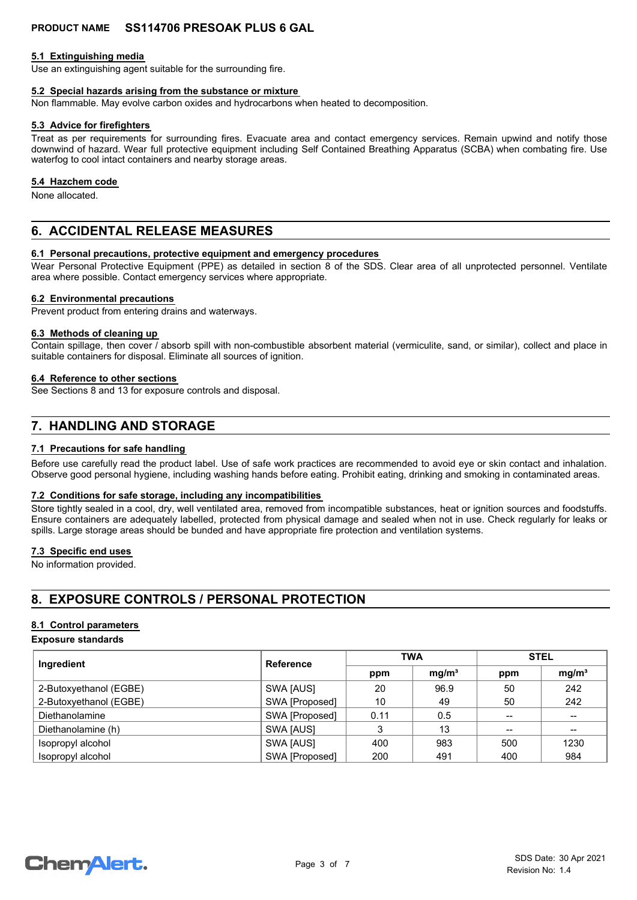#### **5.1 Extinguishing media**

Use an extinguishing agent suitable for the surrounding fire.

#### **5.2 Special hazards arising from the substance or mixture**

Non flammable. May evolve carbon oxides and hydrocarbons when heated to decomposition.

#### **5.3 Advice for firefighters**

Treat as per requirements for surrounding fires. Evacuate area and contact emergency services. Remain upwind and notify those downwind of hazard. Wear full protective equipment including Self Contained Breathing Apparatus (SCBA) when combating fire. Use waterfog to cool intact containers and nearby storage areas.

#### **5.4 Hazchem code**

None allocated.

### **6. ACCIDENTAL RELEASE MEASURES**

#### **6.1 Personal precautions, protective equipment and emergency procedures**

Wear Personal Protective Equipment (PPE) as detailed in section 8 of the SDS. Clear area of all unprotected personnel. Ventilate area where possible. Contact emergency services where appropriate.

#### **6.2 Environmental precautions**

Prevent product from entering drains and waterways.

#### **6.3 Methods of cleaning up**

Contain spillage, then cover / absorb spill with non-combustible absorbent material (vermiculite, sand, or similar), collect and place in suitable containers for disposal. Eliminate all sources of ignition.

#### **6.4 Reference to other sections**

See Sections 8 and 13 for exposure controls and disposal.

### **7. HANDLING AND STORAGE**

#### **7.1 Precautions for safe handling**

Before use carefully read the product label. Use of safe work practices are recommended to avoid eye or skin contact and inhalation. Observe good personal hygiene, including washing hands before eating. Prohibit eating, drinking and smoking in contaminated areas.

#### **7.2 Conditions for safe storage, including any incompatibilities**

Store tightly sealed in a cool, dry, well ventilated area, removed from incompatible substances, heat or ignition sources and foodstuffs. Ensure containers are adequately labelled, protected from physical damage and sealed when not in use. Check regularly for leaks or spills. Large storage areas should be bunded and have appropriate fire protection and ventilation systems.

#### **7.3 Specific end uses**

No information provided.

### **8. EXPOSURE CONTROLS / PERSONAL PROTECTION**

#### **8.1 Control parameters**

#### **Exposure standards**

| Ingredient             | <b>Reference</b> | <b>TWA</b> |                   | <b>STEL</b>     |                   |
|------------------------|------------------|------------|-------------------|-----------------|-------------------|
|                        |                  |            | mg/m <sup>3</sup> | ppm             | mg/m <sup>3</sup> |
| 2-Butoxyethanol (EGBE) | SWA [AUS]        | 20         | 96.9              | 50              | 242               |
| 2-Butoxyethanol (EGBE) | SWA [Proposed]   | 10         | 49                | 50              | 242               |
| Diethanolamine         | SWA [Proposed]   | 0.11       | 0.5               |                 |                   |
| Diethanolamine (h)     | SWA [AUS]        |            | 13                | $\qquad \qquad$ | --                |
| Isopropyl alcohol      | SWA [AUS]        | 400        | 983               | 500             | 1230              |
| Isopropyl alcohol      | SWA [Proposed]   | 200        | 491               | 400             | 984               |

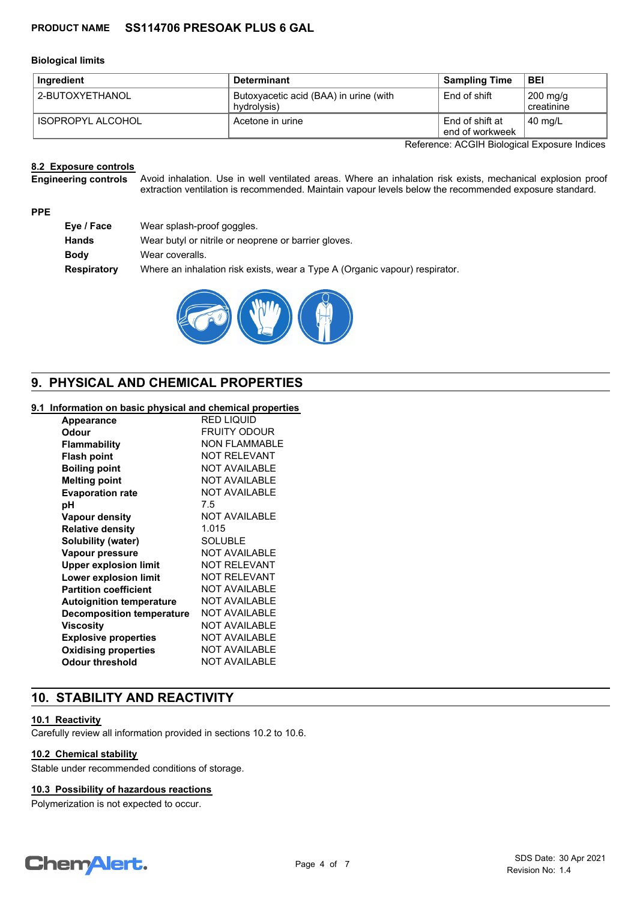#### **Biological limits**

| Ingredient        | <b>Determinant</b>                                    | <b>Sampling Time</b>               | <b>BEI</b>                       |
|-------------------|-------------------------------------------------------|------------------------------------|----------------------------------|
| 2-BUTOXYETHANOL   | Butoxyacetic acid (BAA) in urine (with<br>hydrolysis) | End of shift                       | $200 \text{ mg/g}$<br>creatinine |
| ISOPROPYL ALCOHOL | Acetone in urine                                      | End of shift at<br>end of workweek | $40 \text{ mg/L}$                |

Reference: ACGIH Biological Exposure Indices

#### **8.2 Exposure controls**

Avoid inhalation. Use in well ventilated areas. Where an inhalation risk exists, mechanical explosion proof extraction ventilation is recommended. Maintain vapour levels below the recommended exposure standard. **Engineering controls**

#### **PPE**

| Wear splash-proof goggles.                                                  |
|-----------------------------------------------------------------------------|
| Wear butyl or nitrile or neoprene or barrier gloves.                        |
| Wear coveralls.                                                             |
| Where an inhalation risk exists, wear a Type A (Organic vapour) respirator. |
|                                                                             |



### **9. PHYSICAL AND CHEMICAL PROPERTIES**

#### **9.1 Information on basic physical and chemical properties**

| <b>Appearance</b>                | <b>RED LIQUID</b>    |
|----------------------------------|----------------------|
| Odour                            | <b>FRUITY ODOUR</b>  |
| <b>Flammability</b>              | <b>NON FLAMMABLE</b> |
| <b>Flash point</b>               | <b>NOT RELEVANT</b>  |
| <b>Boiling point</b>             | <b>NOT AVAILABLE</b> |
| <b>Melting point</b>             | <b>NOT AVAILABLE</b> |
| <b>Evaporation rate</b>          | <b>NOT AVAILABLE</b> |
| рH                               | 7.5                  |
| <b>Vapour density</b>            | <b>NOT AVAILABLE</b> |
| <b>Relative density</b>          | 1.015                |
| Solubility (water)               | SOLUBLE              |
| Vapour pressure                  | <b>NOT AVAILABLE</b> |
| <b>Upper explosion limit</b>     | <b>NOT RELEVANT</b>  |
| <b>Lower explosion limit</b>     | <b>NOT RELEVANT</b>  |
| <b>Partition coefficient</b>     | <b>NOT AVAILABLE</b> |
| <b>Autoignition temperature</b>  | <b>NOT AVAILABLE</b> |
| <b>Decomposition temperature</b> | <b>NOT AVAILABLE</b> |
| <b>Viscosity</b>                 | <b>NOT AVAILABLE</b> |
| <b>Explosive properties</b>      | <b>NOT AVAILABLE</b> |
| <b>Oxidising properties</b>      | <b>NOT AVAILABLE</b> |
| Odour threshold                  | <b>NOT AVAILABLE</b> |
|                                  |                      |

### **10. STABILITY AND REACTIVITY**

#### **10.1 Reactivity**

Carefully review all information provided in sections 10.2 to 10.6.

#### **10.2 Chemical stability**

Stable under recommended conditions of storage.

#### **10.3 Possibility of hazardous reactions**

Polymerization is not expected to occur.

# **Chemalert.**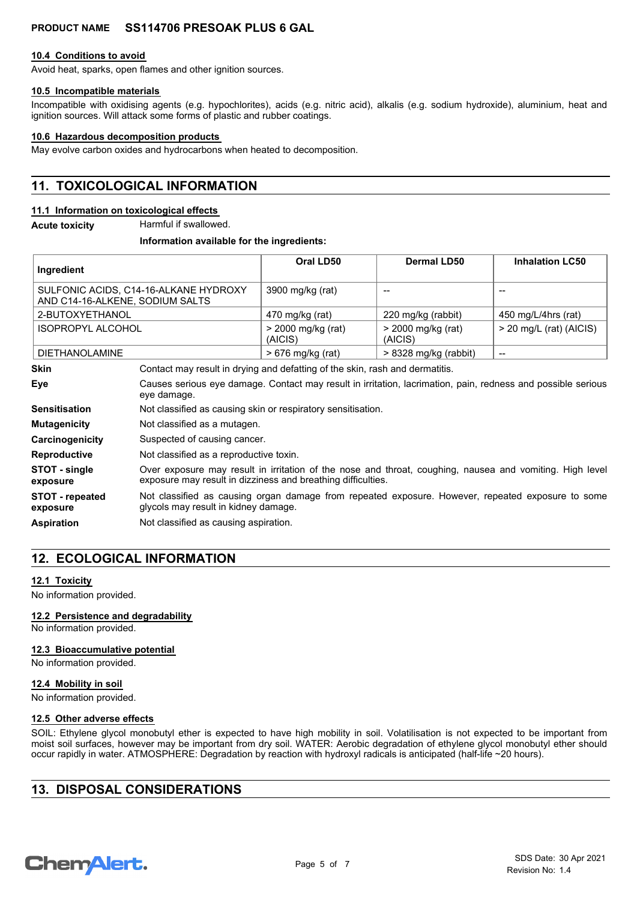#### **10.4 Conditions to avoid**

Avoid heat, sparks, open flames and other ignition sources.

### **10.5 Incompatible materials**

Incompatible with oxidising agents (e.g. hypochlorites), acids (e.g. nitric acid), alkalis (e.g. sodium hydroxide), aluminium, heat and ignition sources. Will attack some forms of plastic and rubber coatings.

#### **10.6 Hazardous decomposition products**

May evolve carbon oxides and hydrocarbons when heated to decomposition.

### **11. TOXICOLOGICAL INFORMATION**

#### **11.1 Information on toxicological effects**

**Acute toxicity** Harmful if swallowed.

#### **Information available for the ingredients:**

| Ingredient                                                               |                                                                                                                                                                          | Oral LD50                                                                                                    | <b>Dermal LD50</b>              | <b>Inhalation LC50</b>    |  |  |
|--------------------------------------------------------------------------|--------------------------------------------------------------------------------------------------------------------------------------------------------------------------|--------------------------------------------------------------------------------------------------------------|---------------------------------|---------------------------|--|--|
| SULFONIC ACIDS, C14-16-ALKANE HYDROXY<br>AND C14-16-ALKENE, SODIUM SALTS |                                                                                                                                                                          | 3900 mg/kg (rat)                                                                                             | --                              |                           |  |  |
| 2-BUTOXYETHANOL                                                          |                                                                                                                                                                          | 470 mg/kg (rat)                                                                                              | 220 mg/kg (rabbit)              | 450 mg/L/4hrs (rat)       |  |  |
| <b>ISOPROPYL ALCOHOL</b>                                                 |                                                                                                                                                                          | > 2000 mg/kg (rat)<br>(AICIS)                                                                                | $>$ 2000 mg/kg (rat)<br>(AICIS) | $>$ 20 mg/L (rat) (AICIS) |  |  |
| <b>DIETHANOLAMINE</b>                                                    |                                                                                                                                                                          | > 676 mg/kg (rat)                                                                                            | > 8328 mg/kg (rabbit)           | --                        |  |  |
| <b>Skin</b>                                                              |                                                                                                                                                                          | Contact may result in drying and defatting of the skin, rash and dermatitis.                                 |                                 |                           |  |  |
| Eye                                                                      | eye damage.                                                                                                                                                              | Causes serious eye damage. Contact may result in irritation, lacrimation, pain, redness and possible serious |                                 |                           |  |  |
| <b>Sensitisation</b>                                                     |                                                                                                                                                                          | Not classified as causing skin or respiratory sensitisation.                                                 |                                 |                           |  |  |
| <b>Mutagenicity</b>                                                      |                                                                                                                                                                          | Not classified as a mutagen.                                                                                 |                                 |                           |  |  |
| Carcinogenicity                                                          | Suspected of causing cancer.                                                                                                                                             |                                                                                                              |                                 |                           |  |  |
| <b>Reproductive</b>                                                      |                                                                                                                                                                          | Not classified as a reproductive toxin.                                                                      |                                 |                           |  |  |
| STOT - single<br>exposure                                                | Over exposure may result in irritation of the nose and throat, coughing, nausea and vomiting. High level<br>exposure may result in dizziness and breathing difficulties. |                                                                                                              |                                 |                           |  |  |

Not classified as causing organ damage from repeated exposure. However, repeated exposure to some glycols may result in kidney damage. **STOT - repeated exposure**

**Aspiration** Not classified as causing aspiration.

### **12. ECOLOGICAL INFORMATION**

#### **12.1 Toxicity**

No information provided.

#### **12.2 Persistence and degradability**

No information provided.

#### **12.3 Bioaccumulative potential**

No information provided.

#### **12.4 Mobility in soil**

No information provided.

#### **12.5 Other adverse effects**

SOIL: Ethylene glycol monobutyl ether is expected to have high mobility in soil. Volatilisation is not expected to be important from moist soil surfaces, however may be important from dry soil. WATER: Aerobic degradation of ethylene glycol monobutyl ether should occur rapidly in water. ATMOSPHERE: Degradation by reaction with hydroxyl radicals is anticipated (half-life ~20 hours).

### **13. DISPOSAL CONSIDERATIONS**

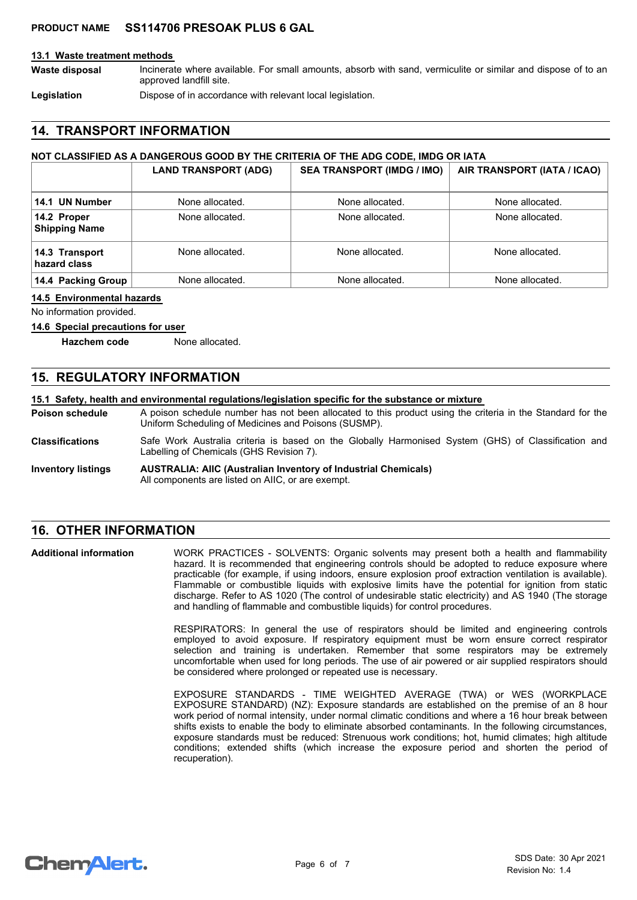#### **13.1 Waste treatment methods**

Incinerate where available. For small amounts, absorb with sand, vermiculite or similar and dispose of to an approved landfill site. **Waste disposal**

Legislation **Dispose of in accordance with relevant local legislation.** 

### **14. TRANSPORT INFORMATION**

#### **NOT CLASSIFIED AS A DANGEROUS GOOD BY THE CRITERIA OF THE ADG CODE, IMDG OR IATA**

|                                     | <b>LAND TRANSPORT (ADG)</b> | <b>SEA TRANSPORT (IMDG / IMO)</b> | AIR TRANSPORT (IATA / ICAO) |
|-------------------------------------|-----------------------------|-----------------------------------|-----------------------------|
| 14.1 UN Number                      | None allocated.             | None allocated.                   | None allocated.             |
| 14.2 Proper<br><b>Shipping Name</b> | None allocated.             | None allocated.                   | None allocated.             |
| 14.3 Transport<br>hazard class      | None allocated.             | None allocated.                   | None allocated.             |
| 14.4 Packing Group                  | None allocated.             | None allocated.                   | None allocated.             |

#### **14.5 Environmental hazards**

No information provided.

#### **14.6 Special precautions for user**

**Hazchem code** None allocated.

### **15. REGULATORY INFORMATION**

#### **15.1 Safety, health and environmental regulations/legislation specific for the substance or mixture**

A poison schedule number has not been allocated to this product using the criteria in the Standard for the Uniform Scheduling of Medicines and Poisons (SUSMP). **Poison schedule**

- Safe Work Australia criteria is based on the Globally Harmonised System (GHS) of Classification and Labelling of Chemicals (GHS Revision 7). **Classifications**
- **AUSTRALIA: AIIC (Australian Inventory of Industrial Chemicals)** All components are listed on AIIC, or are exempt. **Inventory listings**

### **16. OTHER INFORMATION**

WORK PRACTICES - SOLVENTS: Organic solvents may present both a health and flammability hazard. It is recommended that engineering controls should be adopted to reduce exposure where practicable (for example, if using indoors, ensure explosion proof extraction ventilation is available). Flammable or combustible liquids with explosive limits have the potential for ignition from static discharge. Refer to AS 1020 (The control of undesirable static electricity) and AS 1940 (The storage and handling of flammable and combustible liquids) for control procedures. **Additional information**

> RESPIRATORS: In general the use of respirators should be limited and engineering controls employed to avoid exposure. If respiratory equipment must be worn ensure correct respirator selection and training is undertaken. Remember that some respirators may be extremely uncomfortable when used for long periods. The use of air powered or air supplied respirators should be considered where prolonged or repeated use is necessary.

> EXPOSURE STANDARDS - TIME WEIGHTED AVERAGE (TWA) or WES (WORKPLACE EXPOSURE STANDARD) (NZ): Exposure standards are established on the premise of an 8 hour work period of normal intensity, under normal climatic conditions and where a 16 hour break between shifts exists to enable the body to eliminate absorbed contaminants. In the following circumstances, exposure standards must be reduced: Strenuous work conditions; hot, humid climates; high altitude conditions; extended shifts (which increase the exposure period and shorten the period of recuperation).